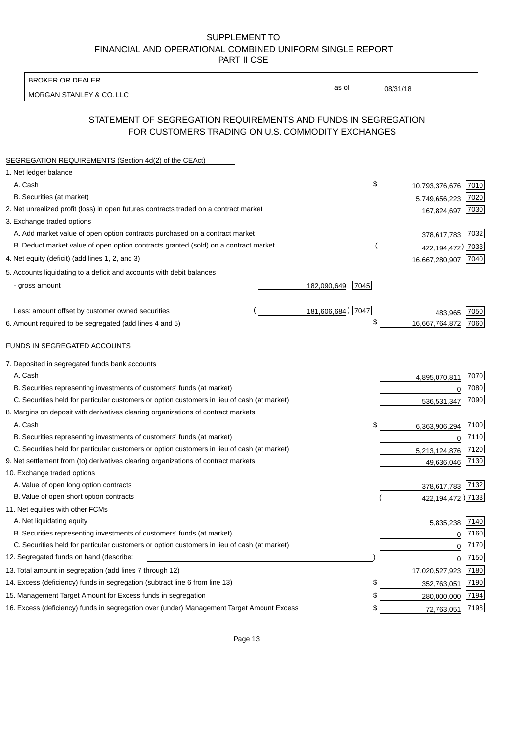BROKER OR DEALER

MORGAN STANLEY & CO. LLC

08/31/18

as of

# STATEMENT OF SEGREGATION REQUIREMENTS AND FUNDS IN SEGREGATION FOR CUSTOMERS TRADING ON U.S. COMMODITY EXCHANGES

| SEGREGATION REQUIREMENTS (Section 4d(2) of the CEAct)                                       |                     |                     |          |
|---------------------------------------------------------------------------------------------|---------------------|---------------------|----------|
| 1. Net ledger balance                                                                       |                     |                     |          |
| A. Cash                                                                                     | \$                  | 10,793,376,676 7010 |          |
| B. Securities (at market)                                                                   |                     | 5,749,656,223       | 7020     |
| 2. Net unrealized profit (loss) in open futures contracts traded on a contract market       |                     | 167,824,697         | 7030     |
| 3. Exchange traded options                                                                  |                     |                     |          |
| A. Add market value of open option contracts purchased on a contract market                 |                     | 378,617,783 7032    |          |
| B. Deduct market value of open option contracts granted (sold) on a contract market         |                     | 422, 194, 472) 7033 |          |
| 4. Net equity (deficit) (add lines 1, 2, and 3)                                             |                     | 16,667,280,907 7040 |          |
| 5. Accounts liquidating to a deficit and accounts with debit balances                       |                     |                     |          |
| - gross amount                                                                              | 182,090,649<br>7045 |                     |          |
|                                                                                             |                     |                     |          |
| Less: amount offset by customer owned securities                                            | 181,606,684) 7047   | 483.965             | 7050     |
| 6. Amount required to be segregated (add lines 4 and 5)                                     | \$                  | 16,667,764,872      | 7060     |
|                                                                                             |                     |                     |          |
| FUNDS IN SEGREGATED ACCOUNTS                                                                |                     |                     |          |
| 7. Deposited in segregated funds bank accounts                                              |                     |                     |          |
| A. Cash                                                                                     |                     | 4,895,070,811       | 7070     |
| B. Securities representing investments of customers' funds (at market)                      |                     | 0                   | 7080     |
| C. Securities held for particular customers or option customers in lieu of cash (at market) |                     | 536,531,347         | 7090     |
| 8. Margins on deposit with derivatives clearing organizations of contract markets           |                     |                     |          |
| A. Cash                                                                                     | \$                  | 6,363,906,294       | 7100     |
| B. Securities representing investments of customers' funds (at market)                      |                     | 0                   | 7110     |
| C. Securities held for particular customers or option customers in lieu of cash (at market) |                     | 5,213,124,876       | 7120     |
| 9. Net settlement from (to) derivatives clearing organizations of contract markets          |                     | 49,636,046 7130     |          |
| 10. Exchange traded options                                                                 |                     |                     |          |
| A. Value of open long option contracts                                                      |                     | 378,617,783 7132    |          |
| B. Value of open short option contracts                                                     |                     | 422,194,472 )7133   |          |
| 11. Net equities with other FCMs                                                            |                     |                     |          |
| A. Net liquidating equity                                                                   |                     | 5,835,238           | 7140     |
| B. Securities representing investments of customers' funds (at market)                      |                     | $\mathbf 0$         | 7160     |
| C. Securities held for particular customers or option customers in lieu of cash (at market) |                     | $\mathbf 0$         | 7170     |
| 12. Segregated funds on hand (describe:                                                     |                     |                     | $0$ 7150 |
| 13. Total amount in segregation (add lines 7 through 12)                                    |                     | 17,020,527,923 7180 |          |
| 14. Excess (deficiency) funds in segregation (subtract line 6 from line 13)                 | S                   | 352,763,051         | 7190     |
| 15. Management Target Amount for Excess funds in segregation                                | \$                  | 280,000,000         | 7194     |
| 16. Excess (deficiency) funds in segregation over (under) Management Target Amount Excess   | \$                  | 72,763,051          | 7198     |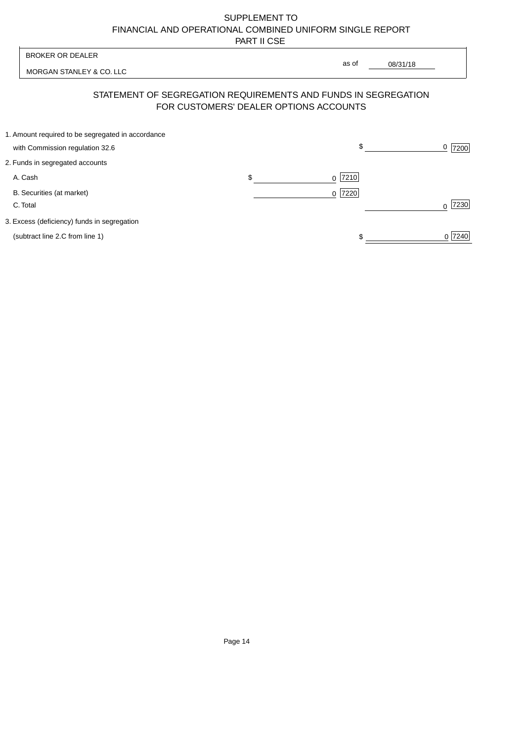| <b>BROKER OR DEALER</b>                                                              | as of                                  |                  |
|--------------------------------------------------------------------------------------|----------------------------------------|------------------|
| MORGAN STANLEY & CO. LLC                                                             | 08/31/18                               |                  |
| STATEMENT OF SEGREGATION REQUIREMENTS AND FUNDS IN SEGREGATION                       | FOR CUSTOMERS' DEALER OPTIONS ACCOUNTS |                  |
| 1. Amount required to be segregated in accordance<br>with Commission regulation 32.6 | \$                                     | 0<br>7200        |
| 2. Funds in segregated accounts                                                      |                                        |                  |
| A. Cash                                                                              | \$<br>7210<br><sup>0</sup>             |                  |
| B. Securities (at market)<br>C. Total                                                | 0 7220                                 | 7230<br>$\Omega$ |
| 3. Excess (deficiency) funds in segregation                                          |                                        |                  |
| (subtract line 2.C from line 1)                                                      |                                        | 0 7240           |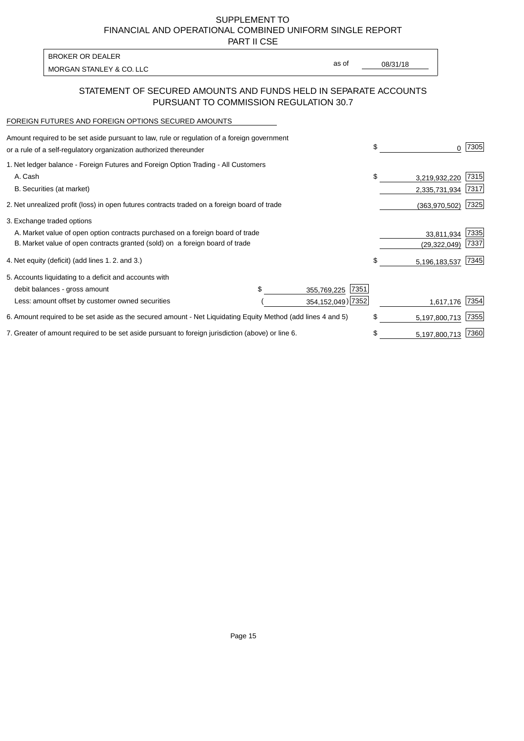PART II CSE

MORGAN STANLEY & CO. LLC and the contract of the contract of the contract of the contract of the contract of the contract of the contract of the contract of the contract of the contract of the contract of the contract of t BROKER OR DEALER

as of

### STATEMENT OF SECURED AMOUNTS AND FUNDS HELD IN SEPARATE ACCOUNTS PURSUANT TO COMMISSION REGULATION 30.7

#### FOREIGN FUTURES AND FOREIGN OPTIONS SECURED AMOUNTS

| Amount required to be set aside pursuant to law, rule or regulation of a foreign government<br>or a rule of a self-regulatory organization authorized thereunder |                     | \$ | 0              | 7305 |
|------------------------------------------------------------------------------------------------------------------------------------------------------------------|---------------------|----|----------------|------|
| 1. Net ledger balance - Foreign Futures and Foreign Option Trading - All Customers                                                                               |                     |    |                |      |
| A. Cash                                                                                                                                                          |                     | \$ | 3,219,932,220  | 7315 |
| B. Securities (at market)                                                                                                                                        |                     |    | 2,335,731,934  | 7317 |
| 2. Net unrealized profit (loss) in open futures contracts traded on a foreign board of trade                                                                     |                     |    | (363,970,502)  | 7325 |
| 3. Exchange traded options                                                                                                                                       |                     |    |                |      |
| A. Market value of open option contracts purchased on a foreign board of trade                                                                                   |                     |    | 33,811,934     | 7335 |
| B. Market value of open contracts granted (sold) on a foreign board of trade                                                                                     |                     |    | (29, 322, 049) | 7337 |
| 4. Net equity (deficit) (add lines 1.2. and 3.)                                                                                                                  |                     | S  | 5,196,183,537  | 7345 |
| 5. Accounts liquidating to a deficit and accounts with                                                                                                           |                     |    |                |      |
| debit balances - gross amount                                                                                                                                    | 7351<br>355,769,225 |    |                |      |
| Less: amount offset by customer owned securities                                                                                                                 | 354, 152, 049) 7352 |    | 1,617,176      | 7354 |
| 6. Amount required to be set aside as the secured amount - Net Liquidating Equity Method (add lines 4 and 5)                                                     |                     | \$ | 5,197,800,713  | 7355 |
| 7. Greater of amount required to be set aside pursuant to foreign jurisdiction (above) or line 6.                                                                |                     | \$ | 5,197,800,713  | 7360 |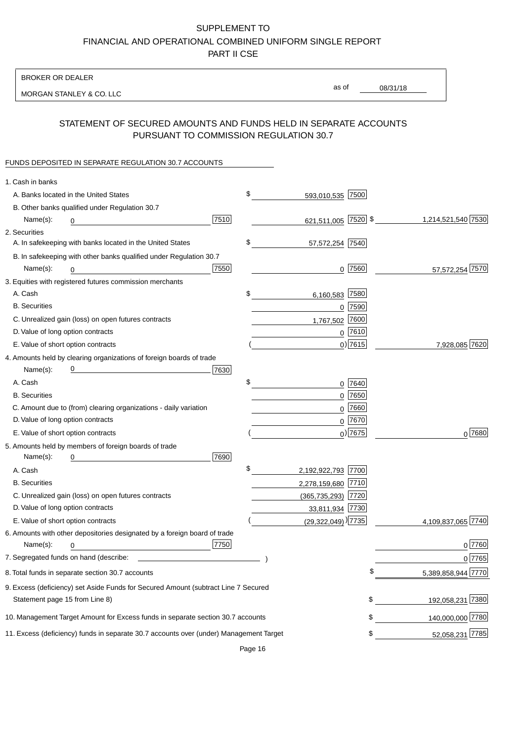BROKER OR DEALER

MORGAN STANLEY & CO. LLC

08/31/18 as of

## STATEMENT OF SECURED AMOUNTS AND FUNDS HELD IN SEPARATE ACCOUNTS PURSUANT TO COMMISSION REGULATION 30.7

### FUNDS DEPOSITED IN SEPARATE REGULATION 30.7 ACCOUNTS

| 1. Cash in banks                                                                       |                                  |             |                    |
|----------------------------------------------------------------------------------------|----------------------------------|-------------|--------------------|
| A. Banks located in the United States                                                  | \$<br>593,010,535 7500           |             |                    |
| B. Other banks qualified under Regulation 30.7                                         |                                  |             |                    |
| 7510<br>Name(s):<br>0                                                                  | 621,511,005 7520 \$              |             | 1,214,521,540 7530 |
| 2. Securities                                                                          |                                  |             |                    |
| A. In safekeeping with banks located in the United States                              | \$<br>57,572,254 7540            |             |                    |
| B. In safekeeping with other banks qualified under Regulation 30.7                     |                                  |             |                    |
| 7550<br>Name(s):<br>0                                                                  |                                  | $0$  7560   | 57,572,254 7570    |
| 3. Equities with registered futures commission merchants                               |                                  |             |                    |
| A. Cash                                                                                | \$<br>6,160,583 7580             |             |                    |
| <b>B.</b> Securities                                                                   |                                  | $0$ 7590    |                    |
| C. Unrealized gain (loss) on open futures contracts                                    | 1,767,502 7600                   |             |                    |
| D. Value of long option contracts                                                      |                                  | $0^{7610}$  |                    |
| E. Value of short option contracts                                                     |                                  | $0)$ 7615   | 7,928,085 7620     |
| 4. Amounts held by clearing organizations of foreign boards of trade                   |                                  |             |                    |
| <u> 1980 - Johann Barbara, martxa alemaniar a</u><br>7630<br>Name(s):                  |                                  |             |                    |
| A. Cash                                                                                | \$                               | $0$ 7640    |                    |
| <b>B.</b> Securities                                                                   |                                  | $0$ 7650    |                    |
| C. Amount due to (from) clearing organizations - daily variation                       | $\mathbf 0$                      | 7660        |                    |
| D. Value of long option contracts                                                      |                                  | 0 7670      |                    |
| E. Value of short option contracts                                                     |                                  | $_0$ ) 7675 | $0^{7680}$         |
| 5. Amounts held by members of foreign boards of trade                                  |                                  |             |                    |
| Name(s):<br>7690<br>0                                                                  |                                  |             |                    |
| A. Cash                                                                                | \$<br>2,192,922,793 7700         |             |                    |
| <b>B.</b> Securities                                                                   | 2,278,159,680 7710               |             |                    |
| C. Unrealized gain (loss) on open futures contracts                                    | (365,735,293) 7720               |             |                    |
| D. Value of long option contracts                                                      | 33,811,934 7730                  |             |                    |
| E. Value of short option contracts                                                     | $(29,322,049)$ <sup>)</sup> 7735 |             | 4,109,837,065 7740 |
| 6. Amounts with other depositories designated by a foreign board of trade              |                                  |             |                    |
| 7750<br>Name(s):<br>0                                                                  |                                  |             | 0 7760             |
| 7. Segregated funds on hand (describe: __                                              |                                  |             | 0 7765             |
| 8. Total funds in separate section 30.7 accounts                                       |                                  | \$          | 5,389,858,944 7770 |
| 9. Excess (deficiency) set Aside Funds for Secured Amount (subtract Line 7 Secured     |                                  |             |                    |
| Statement page 15 from Line 8)                                                         |                                  | \$          | 192,058,231 7380   |
| 10. Management Target Amount for Excess funds in separate section 30.7 accounts        |                                  | \$          | 140,000,000 7780   |
| 11. Excess (deficiency) funds in separate 30.7 accounts over (under) Management Target |                                  | \$          | 52,058,231 7785    |